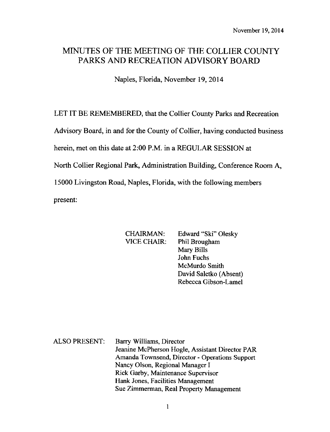## MINUTES OF THE MEETING OF THE COLLIER COUNTY PARKS AND RECREATION ADVISORY BOARD

Naples, Florida, November 19,2014

LET IT BE REMEMBERED, that the Collier County Parks and Recreation Advisory Board, in and for the County of Collier, having conducted business herein, met on this date at 2:00 P.M. in a REGULAR SESSION at North Collier Regional Park, Administration Building, Conference Room A, 15000 Livingston Road, Naples, Florida, with the following members present:

CHAIRMAN: Edward "Ski" Olesky VICE CIIAIR: Phil Brougham Mary Bills John Fuchs McMurdo Smith David Saletko (Absent) Rebecca Cibson-Lamel

ALSO PRESENT: Barry Williams, Director Jeanine McPherson Flogle, Assistant Director PAR Amanda Townsend, Director - Operations Support Nancy Olson, Regional Manager I Rick Garby, Maintenance Supervisor Hank Jones, Facilities Management Sue Zimmerman, Real Property Management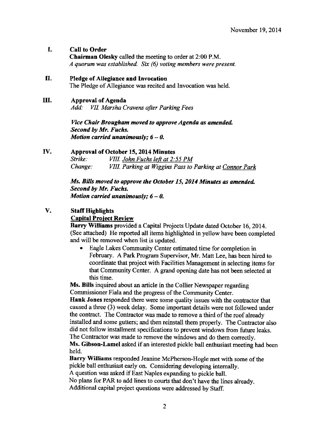#### I. Call to Order

Chairman Olesky called the meeting to order at 2:00 P.M. A quorum was established. Six (6) voting members were present.

#### II. Pledge of Allegiance and Invocation

The Pledge of Allegiance was recited and Invocation was held.

# **III.** Approval of Agenda<br>Add: VII. Marsha C

VII. Marsha Cravens after Parking Fees

Vice Chair Brougham moved to approve Agenda as amended. Second by Mr. Fuchs. Motion carried unanimously;  $6 - 0$ .

## IV. Approval of October 15, 2014 Minutes

Strike: *VIII. John Fuchs left at 2:55 PM*<br>Change: *VIII. Parking at Wiggins Pass to* VIII. Parking at Wiggins Pass to Parking at Connor Park

Ms. Bills moved to approve the October 15, 2014 Minutes as amended. Second by Mr. Fuchs. Motion carried unanimously;  $6 - \theta$ .

## V. Staff Highlights

## Capital Proiect Review

Barry Williams provided a Capital Projects Update dated October 16, 2014. (See attached) He reported all items highlighted in yellow have been completed and will be removed when list is updated.

o Eagle Lakes Community Center estimated time for completion in February. A Park Program Supervisor, Mr. Matt Lee, has been hired to coordinate that project with Facilities Management in selecting items for that Community Center. A grand opening date has not been selected at this time.

Ms. Bills inquired about an article in the Collier Newspaper regarding Commissioner Fiala and the progress of the Community Center.

Hank Jones responded there were some quality issues with the contractor that caused a three (3) week delay. Some important details were not followed under the contract. The Contractor was made to remove a third of the roof already installed and some gutters; and then reinstall them properly. The Contractor also did not follow installment specifications to prevent windows fiom future leaks. The Contractor was made to remove the windows and do them correctly.

Ms. Gibson-Lamel asked if an interested pickle ball enthusiast meeting had been held.

Barry Williams responded Jeanine McPherson-Hogie met with some of the pickle ball enthusiast early on. Considering developing intemally.

A question was asked if East Naples expanding to pickle ball.

No plans for PAR to add lines to courts that don't have the lines already. Additional capital project questions were addressed by Staff.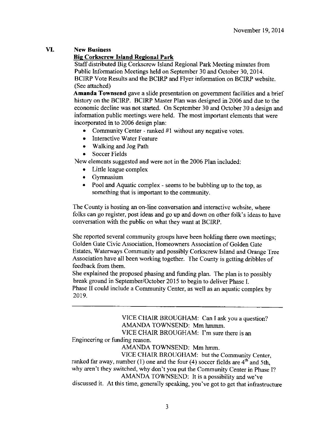#### VI. New Business

## Biq Corkscrew Island Regional Park

Staff distributed Big Corkscrew Island Regional Park Meeting minutes from Public Information Meetings held on September 30 and October 30, 2014. BCIRP Vote Results and the BCIRP and Flyer information on BCIRP website. (See attached)

Amanda Townsend gave a slide presentation on govenment facilities and a brief history on the BCIRP. BCIRP Master Plan was designed in 2006 and due to the economic decline was not started. On September 30 and October 30 adesign and information public meetings were held. The most important elements that were incorporated in to 2006 desiga plan:

- Community Center ranked  $#1$  without any negative votes.
- Interactive Water Feature
- $\bullet$  Walking and Jog Path
- $\bullet$  Soccer Fields

New elements suggested and were not in the 2006 Plan included:

- $\bullet$  Little league complex
- Gymnasium
- . Pool and Aquatic complex seems to be bubbling up to the top, as something that is important to the community.

The County is hosting an on-line conversation and interactive website, where folks can go register, post ideas and go up and down on other folk's ideas to have conversation with the public on what they want at BCIRP.

Shc reported several community groups have been holding there own meetings; Golden Gate Civic Association. Ilomeowners Association of Golden Gatc Estates, Waterways Community and possibly Corkscrew Island and Orange Tree Association have all been working together. The County is gctting dribbles of feedback from them.

She explained the proposed phasing and funding plan. The plan is to possibly break ground in September/October 2015 to begin to deliver Phase I. Phase II could include a Community Center, as well as an aquatic complex by 2019.

> VICE CHAIR BROUGHAM: Can I ask you a question? AMANDA TOWNSEND: Mm hmmm.

VICE CHAIR BROUGHAM: I'm sure there is an Engineering or funding reason.

AMANDA TOWNSEND: Mm hmm.

VICE CHAIR BROUGIIAM: but the Community Center, ranked far away, number (1) one and the four (4) soccer fields are  $4<sup>th</sup>$  and 5th, why aren't they switched, why don't you put the Community Center in Phase I? AMANDA TOWNSEND: It is a possibility and we've

discussed it. At this time, generally speaking, you've got to get that infrastructure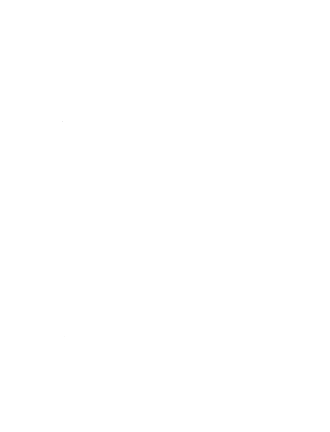$\label{eq:2.1} \frac{1}{\sqrt{2}}\left(\frac{1}{\sqrt{2}}\right)^{2} \left(\frac{1}{\sqrt{2}}\right)^{2} \left(\frac{1}{\sqrt{2}}\right)^{2} \left(\frac{1}{\sqrt{2}}\right)^{2} \left(\frac{1}{\sqrt{2}}\right)^{2} \left(\frac{1}{\sqrt{2}}\right)^{2} \left(\frac{1}{\sqrt{2}}\right)^{2} \left(\frac{1}{\sqrt{2}}\right)^{2} \left(\frac{1}{\sqrt{2}}\right)^{2} \left(\frac{1}{\sqrt{2}}\right)^{2} \left(\frac{1}{\sqrt{2}}\right)^{2} \left(\$  $\label{eq:2.1} \frac{1}{\sqrt{2}}\int_{\mathbb{R}^3}\frac{1}{\sqrt{2}}\left(\frac{1}{\sqrt{2}}\right)^2\frac{1}{\sqrt{2}}\left(\frac{1}{\sqrt{2}}\right)^2\frac{1}{\sqrt{2}}\left(\frac{1}{\sqrt{2}}\right)^2\frac{1}{\sqrt{2}}\left(\frac{1}{\sqrt{2}}\right)^2.$ 

 $\label{eq:2.1} \mathcal{L}(\mathcal{L}^{\text{max}}_{\mathcal{L}}(\mathcal{L}^{\text{max}}_{\mathcal{L}}),\mathcal{L}^{\text{max}}_{\mathcal{L}^{\text{max}}_{\mathcal{L}}})$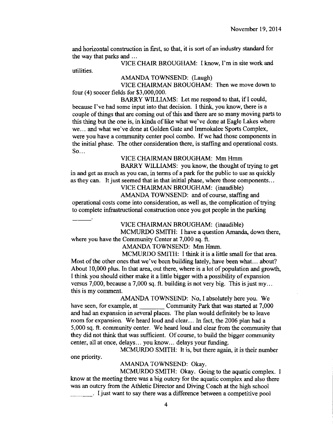and horizontal construction in first, so that, it is sort of an industry standard for the way that parks and ...

utilities. VICE CHAIR BROUGHAM: I know, I'm in site work and

AMANDA TOWNSEND: (Laugh)

VICE CHAIRMAN BROUGHAM: Then we move down to four (4) soccer fields for \$3,000,000.

BARRY WILLIAMS: Let me respond to that, if I could, because I've had some input into that decision. I think, you know, there is a couple of things that are coming out of this and there are so many moving parts to this thing but the one is, in kinda of like what we've done at Eagle Lakes where we... and what we've done at Golden Gate and Immokalee Sports Complex, were you have a community center pool combo. If we had those components in the initial phase. The other consideration there, is staffing and operational costs. So...

VICE CHAIRMAN BROUGHAM: Mm Hmm

BARRY WILLIAMS: you know, the thought of trying to get in and get as much as you can, in terms of a park for the public to use as quickly as they can. It just seemed that in that initial phase, where those components...

VICE CHAIRMAN BROUGHAM: (inaudible)

AMANDA TOWNSEND: and of couse, staffing and operational costs come into consideration, as well as, the complication of trying to complete infrastructional construction once you got people in the parking

VICE CHAIRMAN BROUGHAM: (inaudible)

MCMURDO SMITH: I have a question Amanda, down there, where you have the Community Center at 7,000 sq. ft.

AMANDA TOWNSEND: Mm Hmm.

MCMURDO SMITH: I think it is a little small for that area. Most of the other ones that we've been building lately, have been what... about? About  $10,000$  plus. In that area, out there, where is a lot of population and growth, I think you should either make it a little bigger with a possibility ofexpansion versus 7,000, because a 7,000 sq. ft. building is not very big. This is just my. . . this is my comment.

AMANDA TOWNSEND: No, I absolutely here you. We have seen, for example, at Community Park that was started at 7,000 and had an expansion in several places. The plan would definitely be to leave room for expansion. We heard loud and clear.. . In fact, the 2005 plan had a 5,000 sq. ft. community center. We heard loud and clear from the community that they did not think that was sufficient. Of course, to build the bigger community center, all at once, delays.. . you know... delays your funding.

one priority. MCMURDO SMITH: It is, but there again, it is their number

AMANDA TOWNSEND: Okay.

MCMURDO SMITH: Okay. Going to the aquatic complex. I know at the meeting there was a big outcry for the aquatic complex and also there was an outcry fiom the Athletic Director and Diving Coach at the high school If your is say there was a difference between a competitive pool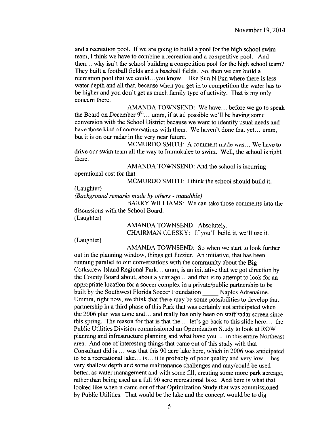and a recreation pool. If we are going to build a pool for the high school swim team, I think we have to combine a recreation and a competitive pool. And then... why isn't the school building a competition pool for the high school team? They built a football fields and a bascball fields. So, then we can build a recreation pool that we could. . .you know.. . like Sun N Fun where there is less water depth and all that, because when you get in to competition the water has to be higher and you don't get as much family type of activity. That is my only concem there.

AMANDA TOWNSEND: We have... before we go to speak the Board on December  $9<sup>th</sup>$ ... umm, if at all possible we'll be having some conversion with the School District because we want to identify usual needs and have those kind of conversations with them. We haven't done that yet... umm, but it is on our radar in the very near future.

MCMURDO SMITH: A comment made was... We have to drive our swim team all the way to Immokalee to swim. Well, the school is right there.

AMANDA TOWNSEND: And the school is incurring operational cost for that.

MCMURDO SMITH: I think the school should build it.

(Laughter)

(Background remarks made by others - inaudible)

BARRY WILLIAMS: We can takc those comments into the discussions with the School Board.

(Laughter)

AMANDA TOWNSEND: Absolutely. CHAIRMAN OLESKY: If you'll build it, we'll use it.

(Laughter)

AMANDA TOWNSEND: So when we start to look further out in the planning window, things get fuzzier. An initiative, that has been running parallel to our conversations with the community about the Big Corkscrew Island Regional Park... umm, is an initiative that we got direction by the County Board about, about a ycar ago... and that is to attempt to look for an appropriate location for a soccer complex in a private/public partnership to be built by the Southwest Florida Soccer Foundation Naples Adrenaline. Ummm, right now, we think that there may be some possibilities to develop that partnership in a third phasc of this Park that was certainly not anticipated when the 2006 plan was done and... and really has only been on staff radar screen since this spring. The reason for that is that the  $\dots$  let's go back to this slide here... the Public Utilities Division commissioned an Optimization Study to look at ROW planning and infrastructure planning and what have you ... in this entire Northeast area. And one of intercsting things thal came out of this study with that Consultant did is ... was that this 90 acre lake here, which in 2006 was anticipated to be a recreational lake... is... it is probably of poor quality and very low... has very shallow depth and some maintenance challenges and may/could be used better. as water management and with somc fill, creating some more park acreage, rather than being used as a full 90 acre recreational lake. And here is what that looked like when it came out of that Optimization Study that was commissioned by Public Utilities. That would be the lake and the concept would be to dig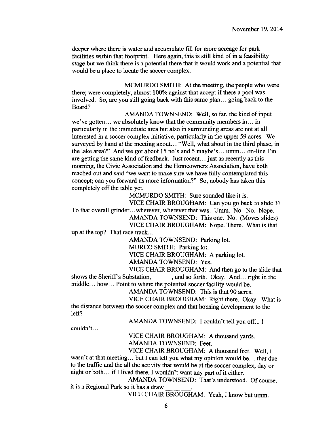deeper where there is water and accumulate fill for more acreage for park facilities within that footprint. Here again, this is still kind of in a feasibility stage but we think there is a potential there that it would work and a potential that would be a place to locate the soocer complex.

MCMURDO SMITH: At the meeting, the people who were there; were completely, almost 100% against that accept if there a pool was involved. So, are you still going back with this same plan. .. going back to the Board?

AMANDA TOWNSEND: Well, so far, the kind of input we've gotten... we absolutely know that the community members in... in particularly in the immediate area but also in surrounding areas are not at all interested in a soccer complex initiative, particularly in the upper 59 acres. We surveyed by hand at the meeting about... "Well, what about in the third phase, in the lake area?" And we got about 15 no's and 5 maybe's... umm... on-line I'm are getting the same kind of feedback. Just recent... just as recently as this moming, the Civic Association and the Homeowners Association, have both reached out and said "we want to make sure we have fully contemplated this concept; can you forward us more information?" So, nobody has taken this completely off the table yet.

MCMURDO SMITH: Sure sounded like it is.

VICE CHAIR BROUGHAM: Can you go back to slide 3?

To that overall grinder.. .wherever, wherever that was. Umm. No. No. Nope.

AMANDA TOWNSEND: This one. No. (Moves slides)

VICE CHAIR BROUGHAM: Nope. There. What is that up at the top? That race track...

AMANDA TOWNSEND: Parking lot.

MURCO SMITH: Parking lot.

VICE CHAIR BROUGHAM: A parking lot.

AMANDA TOWNSEND: Yes.

VICE CHAIR BROUGFIAM: And then go to the slide that shows the Sheriff's Substation, , and so forth. Okay. And... right in the middle. .. how... Point to where the potential soccer facility would be.

AMANDA TOWNSEND: This is that 90 acres.

VICE CIIAIR BROUGHAM: Right there. Okay. What is the distance between the soccer complex and that housing development to the left?

AMANDA TOWNSEND: I couldn't tell you off... I

couldn't...

VICE CHAIR BROUGHAM: A thousand yards. AMANDA TOWNSEND: Feet.

VICE CHAIR BROUGHAM: A thousand feet. Well, I wasn't at that meeting... but I can tell you what my opinion would be... that due to the traffic and the all the activity that would be at the soccer complex, day or night or both... ifI lived there, I wouldn't want any part of it either.

AMANDA TOWNSEND: That's understood. Of course, it is a Regional Park so it has a draw

VICE CHAIR BROUGFIAM: Yeah, I know but umm.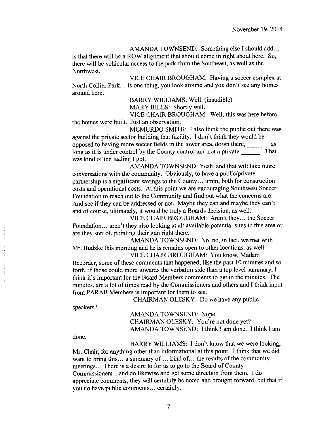AMANDA TOWNSEND: Something else I should add... is that there will be a ROW alignment that should come in right about here. So, there will be vehicular access to the park from the Southeast, as well as the Northwest.

VICE CHAIR BROUGHAM: Having a soccer complex at North Collier Park.. . is onc thing, you look around and you don't see any homes around here.

> BARRY WILLIAMS: Well, (inaudible) MARY BILLS: Shortly will.

VICE CHAIR BROUGHAM: Well, this was here before the homes were built. Just an observation.

MCMURDO SMITII: I also think the public out there was against the private sector building that facility. I don't think they would be opposed to having more soccer fields in the lower area, down there, as long as it is under control by the County control and not a private \_\_\_\_\_\_. That was kind of the feeling I got.

AMANDA TOWNSEND: Yeah, and that will take more conversations with the community. Obviously, to have a public/private partnership is a significant savings to the County... umm, both for construclion costs and operational costs. At this point we are encouraging Southwest Soccer Foundation to reach out to the Community and find out what the concems are. And see if they can be addressed or not. Maybe they can and maybe they can't and of course, ultimately, it would be truly a Boards decision, as well.

VICE CHAIR BROUGHAM: Aren't they. .. the Soccer Foundation... aren't they also looking at all available potential sites in this area or are they sort of, pointing their gun right there.

AMANDA TOWNSEND: No, no, in fact, we met with Mr. Budzke this moming and he is remains open to other locations, as well.

VICE CHAIR BROUGHAM: You know, Madam Recorder, some of these comments that happened, like the past 10 minutes and so forth, if those could more towards the verbatim side than a top level summary, I think it's important for the Board Members comments to get in the minutes. The minutes, are a lot of times read by the Commissioners and others and I think input from PARAB Members is important for them to see.

CHAIRMAN OLESKY: Do we have anv public

speakers?

AMANDA TOWNSEND: Nope. CHAIRMAN OLESKY: You're not done yet? AMANDA TOWNSEND: I think I am done. I think I am

done.

BARRY WILLIAMS: I don't know that we were looking, Mr. Chair, for anything other than informational at this point. I think that we did want to bring this... a summary of ... kind of... the results of the community meetings... There is a desire to for us to go to the Board of County Commissioners.., and do likewise and get some direction from them. I do appreciate comments, they will certainly be noted and brought forward, but that if you do have public comments.. . certainly.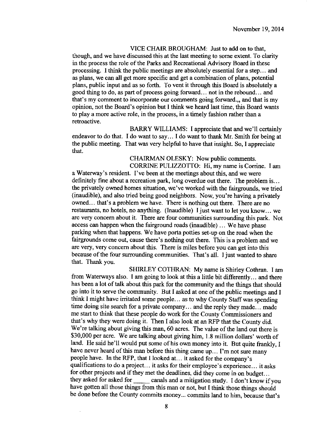VICE CHAIR BROUGHAM: Just to add on to that, though, and we have discussed this at the last meeting to some extent. To clarity in the process the role of the Parks and Recreational Advisory Board in these processing. I think the public meetings are absolutely essential for a step... and as plans, we can all get more specific and get a combination of plans, potential plans, public input and as so forth. To vent it through this Board is absolutely a good thing to do, as part of process going forward. . . not in the rebound. . . and that's my comment to incorporate our cornments going forward.,, and that is my opinion, not the Board's opinion but I think we heard last time, this Board wants to play a more active role, in the process, in a timely fashion rather than a retroactive.

BARRY WILLIAMS: I appreciate that and we'll certainly endeavor to do that. I do want to say... I do want to thank Mr. Smith for being at the public meeting. That was very helpful to have that insight. So, I appreciate that.

CHAIRMAN OLESKY: Now public comments.

CORRINE PULZZOTTO: Hi, my name is Corrine. I am a Waterway's resident. I've been at the meetings about this, and we were definitely fine about a recreation park, long overdue out there. The problem is. .. the privately owned homes situation, we've worked with the fairgrounds, we tried (inaudible), and also tried being good neighbors. Now, you're having a privately owned... that's a problem we have. There is nothing out there. There are no restaurants, no hotels, no anything. (Inaudible) I just want to let you know. .. we are very concern about it. There are four communities surrounding this park. Not access can happen when the fairground roads (inaudible) ... We have phase parking when that happens. We have porta potties set-up on the road when the fairgrounds come out, cause there's nothing out there. This is a problem and we are very, very concern about this. There is miles before you can get into this because of the four surrounding communities. That's all. I just wanted to share that. Thank you.

SHIRLEY COTHRAN: My name is Shirley Cothran. I am from Waterways also. I am going to look at this a little bit differently. .. and there has been a lot of talk about this park for the community and the things that should go into it to serve the community. But I asked at one of the public meetings and I think I might have irritated some people... as to why County Staff was spending time doing site search for a private company... and the reply they made... made me start to think that these people do work for the County Commissioners and that's why they were doing it. Then I also look at an RFP that the County did. We're talking about giving this man, 60 acres. The value of the land out there is \$30,000 per acre. We are talking about giving him, 1.8 million dollars' worth of land. He said he'll would put some of his own money into it. But quite frankly, I have never heard of this man before this thing came up... I'm not sure many people have. In the RFP, that I looked at... it asked for the company's qualifications to do a project... it asks for their employee's experience... it asks for other projects and if they met the deadlines, did they come in on budget... they asked for asked for  $\frac{1}{\sqrt{2}}$  canals and a mitigation study. I don't know if you have gotten all those things from this man or not, but I think those things should be done before the County commits money... commits land to him, because that's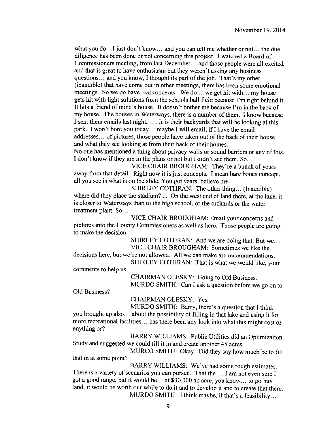what you do. I just don't know... and you can tell me whether or not... the due diligence has been donc or not concerning this project. I watched a Board of Commissioners meeting, from last December... and those people were all excited and that is great to have enthusiasm but they weren't asking any business questions... and you know, I thought its part of the job. That's my other (inaudible) that have come out in other meetings, there has becn some cmotional meetings. So we do have real concems. We do ...we gct hit with... my house gets hit with light solutions from the schools ball field because I'm right behind it. It hits a friend of mine's house. It doesn't bother me because I'm in the back of my house. The houses in Waterways, there is a number of them. I know because I sent them emails last night. .. . It is their backyards that will be looking at this park. I won't bore you today... maybe I will email, ifI have the email addresses... of pictures, those people have taken out of the back of their house and what they see looking at from their back of their homes.

No one has mentioned a thing about privacy walls or sound barriers or any of this. I don't know if they are in the plans or not but I didn't see them. So...

VICE CHAIR BROUGHAM: They're a bunch of years away from that detail. Right now it is just concepts. I mean bare bones concept, all you see is what is on the slide. You got years, believe me.

SHIRLEY COTHRAN: The other thing... (lnaudible) where did they place the stadium? ... On the west end of land there, at the lake, it is closer to Waterways than to the high school, or the orchards or the water treatment plant. So.. .

VICE CHAIR BROUGHAM: Email your concems and pictures into the County Commissioners as well as here. Those people are going to make the decision.

SHIRLEY COTHRAN: And we are doing that. But we... VICE CHAIR BROUGHAM: Sometimes we like the decisions here, but we're not allowed. All we can make are recommendations. SHIRLEY COTHRAN: That is what we would like, your

comments to help us.

CHAIRMAN OLESKY: Going to Old Business. MURDO SMITH: Can I ask a question before we go on to

Old Business?

CHAIRMAN OLESKY: Yes.

MURDO SMITH: Barry, there's a question that I think you brought up also... about the possibility of filling in that lake and using it for more recreational facilities... has there been any look into what this might cost or anything or?

BARRY WILLIAMS: Public Utilities did an Ootimization Study and suggested we could fill it in and create another 45 acres.

MURCO SMITH: Okay. Did they say how much be to fill that in at somc point?

BARRY WILLIAMS: We've had some rough estimates.<br>There is a variety of scenarios you can pursue. That the ... I am not even sure I got a good range, but it would be... at \$30,000 an acre, you know... to go buy land, it would be worth our while to do it and to develop it and to create that there. MURDO SMITH: I think maybe, if that's a feasibility...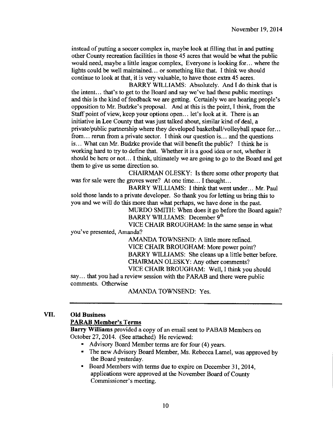instead of putting a soccer complex in, maybe look at filling that in and putting other County recreation facilities in those 45 acres that would be what the public would need, maybe a little league complex, Everyone is looking for.. . where the lights could be well maintained. .. or something like that. I think we should continue to look at that, it is very valuable, to have those extra 45 acres.

BARRY WILLIAMS: Absolutely. And I do think that is the intent. .. that's to get to the Board and say we've had these public meetings and this is the kind of feedback we are getting. Certainly we are hearing people's opposition to Mr. Budzke's proposal. And at this is the point, I think, fiom the Staff point of view, keep your options open... let's look at it. There is an initiative in Lee County that was just talked about, similar kind of deal, a private/public partnership where they developed basketball/volleyball space for... from.. . rerun from a private sector. I think our question is. .. and the questions is... What can Mr. Budzke provide that will benefit the public? I think he is working hard to try to define that. Whether it is a good idea or not, whether it should be here or not... I think, ultimately we arc going to go to the Board and get them to give us some direction so.

CHAIRMAN OLESKY: Is there some other property that was for sale were the groves were? At one time... I thought...

BARRY WILLIAMS: I think that went under... Mr. Paul sold those lands to a private developer. So thark you for letting us bring this to you and we will do this more than what perhaps, we have done in the past.

> MURDO SMITH: When does it go before the Board again? BARRY WILLIAMS: December 9th

VICE CHAIR BROUGHAM: In the same sense in what you' ve presented, Amanda?

> AMANDA TOWNSEND: A little more refined. VICE CHAIR BROUGHAM: More power point? BARRY WILLIAMS: She cleans up a little better before. CHAIRMAN OLESKY: Any other comments? VICE CIIAIR BROUGHAM: Well, I think you should

say... that you had a review session with the PARAB and there were public comments. Otherwise

AMANDA TOWNSEND: Yes.

## VII. Old Business

#### PARAB Member's Terms

Barry Williams provided a copy of an email sent to PABAB Members on October 27,2014. (See attached) He reviewed:

- . Advisory Board Member terns are for four (4) years.
- . The new Advisory Board Member, Ms. Rebecca Lamel, was approved by the Board yesterday.
- . Board Members with terms due to expire on December 31, 2014, applications were approved at the Novembet Board of County Commissioner's meetins.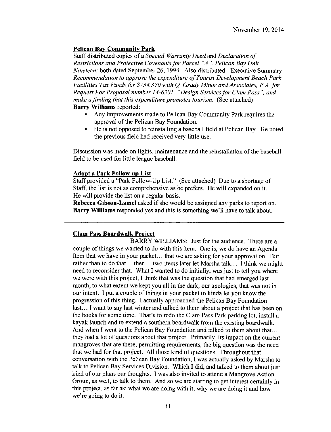#### Pelican Bay Community Park

Staff distributed copies of a Special Warranty Deed and Declaration of Restrictions and Protective Covenanls for Parcel "A", Pelican Bay Unit Nineteen; both dated September 26, 1994. Also distributed: Executive Summary: Recommendation to approve the expenditure of Tourist Development Beach Park Facilities Tax Funds for 3734.370 with Q. Grady Minor and Associates, P.A. for Request For Proposdl number I1-6301, "Design Services for Clam Pass", and make a finding that this expenditure promotes tourism. (See attached) Barry Williams reported:

- . Any improvements made to Pelican Bay Community Park rcquires the approval of the Pelican Bay Foundation.
- . He is not opposed to reinstalling a baseball field at Pclican Bay. He noted the previous field had received very little use.

Discussion was made on lights, maintenance and the reinstallation of the baseball field to be used for little league baseball.

#### Adopt a Park Follow up List

Staff provided a "Park Follow-Up List." (See attached) Due to a shortage of Staff, the list is not as comprehensive as he prefers. He will expanded on it. He will provide the list on a regular basis.

Rebecca Gibson-Lamel asked if she would be assigned any parks to report on. Barry Williams responded yes and this is something we'll have to talk about.

#### **Clam Pass Boardwalk Project**

BARRY WILLIAMS: Just for the audience. There are a couple of things we wanted to do with this itcm. One is, we do have an Agenda Item that we have in your packet.. . that we are asking for your approval on. But rather than to do that... then... two items later let Marsha talk... I think we might need to reconsider that. What I wanted to do initially, was just to tell you wherc we were with this project, I think that was the question that had emerged last month, to what extent we kept you all in the dark, our apologies, that was not in our intent. I put a couple of things in your packet to kinda let you know the progression of this thing. I actually approached the Pelican Bay Foundation last... I want to say last winter and talked to them about a project that has been on the books fbr some time. That's to redo the Clam Pass Park parking lot, install a kayak launch and to extend a southem boardwalk from the existing boardwalk. And when I went to the Pelican Bay Foundation and talked to them about that... they had a lot of questions about that project. Primarily, its impact on the current mangroves that are there, permitting requirements, the big question was the need that we had for that project. All those kind of questions. Throughout that conversation with the Pelican Bay Foundation, I was actually asked by Marsha to talk to Pelican Bay Services Division. Which I did, and talked to them about just kind of our plans our thoughts. I was also invited to attend a Mangrove Action Group, as well, to talk to them. And so we are starting to get interest certainly in this project, as far as; what we are doing with it. why we are doing it and how we're going to do it.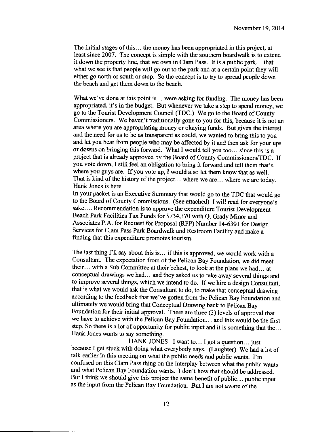The initial stages of this... the money has been appropriated in this project, at least since 2007. The concept is simple with the southem boardwalk is to extend it down the property line, that we own in Clam Pass. It is a public park. .. that what we see is that people will go out to the park and at a certain point they will either go north or south or stop. So the concept is to try to spread people down the beach and get them down to the beach.

What we've done at this point is... were asking for funding. The money has been appropriated, it's in the budget. But whenever we take a step to spend money, we go to the Tourist Development Council (TDC.) We go to the Board of County Commissioners. We haven't traditionally gone to you for this, because it is not an area where you are appropriating money or okaying firnds. But given the interest and the need for us to be as transparent as could, we wanted to bring this to you and let you hear from people who may be affected by it and then ask for your ups or downs on bringing this forward. What I would tell you too. .. since this is a project that is already approved by the Board of County Commissioners/TDC. If you vote down, I still feel an obligation to bring it forward and tell them that's where you guys are. If you vote up, I would also let them know that as well. That is kind of the history of the project. .. where we are. .. where we are today. Hank Jones is here.

In your packet is an Executive Summary that would go to the TDC that would go to the Board of County Commissions. (See attached) I will read for everyone's sake.... Recommendation is to approve the expenditure Tourist Development Beach Park Facilities Tax Funds for \$734,370 with Q. Grady Minor and Associates P.A. for Request for Proposal (RFP) Number l4-6301 for Design Services for Clam Pass Park Boardwalk and Restroom Facility and make a finding that this expenditure promotes tourism.

The last thing I'll say about this is... if this is approved, we would work with a Consultant. The expectation from of the Pelican Bay Foundation, we did meet their... with a Sub Committee at their behest, to look at the plans we had. .. at conceptual drawings we had... and they asked us to take away several things and to improve several things, which we intend to do. If we hire a design Consultant, that is what we would ask the Consultant to do, to make that conceptual drawing according to the feedback that we've gotten from the pelican Bay Foundation and ultimately we would bring that Conceptual Drawing back to pelican Bay Foundation for their initial approval. There are three (3) levels of approval that we bave to achieve with the Pelican Bay Foundation.. . and this would be the first step. So there is a lot of opportunity for public input and it is something that the.. . Hank Jones wants to say something.

HANK JONES: I want to... I got a question... just because I get stuck with doing what everybody says. (Laughter) We had a lot of talk earlier in this meeting on what the public needs and public wants. I'm confused on this Clam Pass thing on the interplay between what the public wants and what Pelican Bay Foundation wants. I don't how that should be addressed. But I think we should give this project the same benefit of public... public input as the input from the Pelican Bay Foundation. But I am not aware of the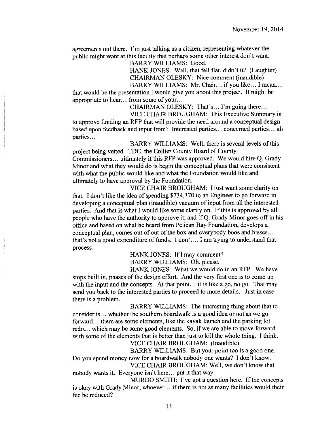agreements out there. I'm just talking as a citizen, representing whatever the public might want at this facility that perhaps some other interest don't want.

BARRY WILLIAMS: Good.

HANK JONES: Well, that fell flat, didn't it? (Laughter) CHAIRMAN OLESKY: Nice comment (inaudible)

BARRY WILLIAMS: Mr. Chair... if you like... I mean... that would be the presentation I would give you about this project. It might be appropriate to hear... from some of your...

CHAIRMAN OLESKY: That's... I'm going there...

VICE CHAIR BROUGHAM: This Executive Summary is to approve funding an RFP that will provide the need around a conceptual design based upon feedback and input from? Interested parties. . . concemed parties. .. all parties. ..

BARRY WILLIAMS: Well, there is several levels of this project being vetted. TDC, the Collier County Board of County Commissioners... ultimately if this RFP was approved. We would hire Q. Grady Minor and what they would do is begin the conceptual plans that were consistent with what the public would like and what the Foundation would like and ultimately to have approval by the Foundation.

VICE CHAIR BROUGHAM: I just want some clarity on that. I don't like the idea of spending \$734,370 to an Engineer to go forward in developing a conceptual plan (inaudible) vacuum of input from all the interested parties. And that is what I would like some clarity on. If this is approved by all people who have the authority to approve it; and if Q. Grady Minor goes off in his office and based on what he heard from Pelican Bay Foundation, develops a conceptual plan, comes out of out of the box and everybody boos and hisses. .. that's not a good expenditure of funds. I don't... I am trying to understand that process.

> HANK JONES: If I may comment? BARRY WILLIAMS: Oh, please.

HANK JONES: What we would do in an RFP. We have stops built in, phases of the design effort. And the very first one is to come up with the input and the concepts. At that point... it is like a go, no go. That may send you back to the interested parties to proceed to more details. Just in case there is a problem.

BARRY WILLIAMS: The intcresting thing about that to consider is... whether the southem boardwalk is a good idea or not as we go forward. .. there are some elements, like thc kayak launch and the parking lot redo... which may be some good elements. So, if we are able to move forward with some of the elements that is better than just to kill the whole thing. I think.

VICE CHAIR BROUGHAM: (Inaudible)

BARRY WII.LIAMS: But your point too is a good one. Do you spend money now for a boardwalk nobody one wants? I don't know.

VICE CHAIR BROUGHAM: Well, we don't know that nobody wants it. Everyone isn't here... put it that way.

MURDO SMITH: I've got a question here. If the concepts is okay with Grady Minor, whoever.. . if therc is not as many facilities would their fee be reduced?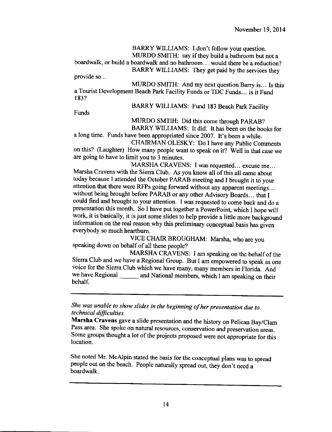BARRY WILLIAMS: I don't follow vour question. MURDO SMITH: say if they build a bathroom but not a boardwalk, or build a boardwalk and no bathroom... would there be a reduction? BARRY WILLIAMS: They get paid by the services they

provide so...

MURDO SMITH: And my next question Barry is... Is this a Tourist Development Beach Park Facility Funds or TDC Funds... is it Fund 183?

Funds

BARRY WILLIAMS: Fund 183 Beach Park Facility

MURDO SMTIH: Did this come through PARAB? BARRY WILLIAMS: It did. It has been on the books for

<sup>a</sup>long time. Funds have been appropriated since 2007. It's been a while.

CHAIRMAN OLESKY: Do I have any public Comments on this? (Laughter) How many people want to speak on it? Well in that case we are going to have to limit you to 3 minutes.

MARSHA CRAVENS: I was requested... excuse me. .. Marsha Cravens with the Sierra Club. As you know all of this all came about today because I attended the October pARAB meeting and I brought it to your attention that there were RFPs going forward without any apparent meetings. .. without being brought before PARAB or any other Advisory Boards. .. that I could frnd and brought to your attention. I was requested to come back and do <sup>a</sup> presentation this month. So I have put together a PowerPoint, which I hope will work, it is basically, it is just some slides to help provide a little more background information on the real reason why this preliminary conceptual basis has given everybody so much heartbum.

VICE CHAIR BROUGHAM: Marsha, who are you speaking down on behalf of all these people?

MARSHA CRAVENS: I am speaking on the behalf of the Siena Club and we have a Regional Group. But I am empowered to speak as one voice for the Sierra Club which we have many, many members in Florida. And we have Regional  $\frac{1}{1}$  and National members, which I am speaking on their behalf.

She was unable to show slides in the beginning of her presentation due to technical difficulties.

Marsha Cravens gave a slide presentation and the history on pelican Bay/Clam Pass area. She spoke on natural resources, conservation and preservation areas. Some groups thought a lot of the projects proposed were not appropriate for this location.

She noted Mr. McAlpin stated the basis for the conceptual plans was to spread people out on the beach. People naturally spread out, they don't need a boardwalk.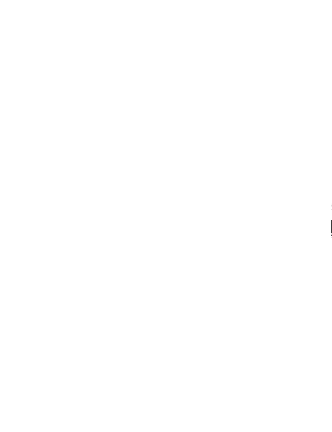$\label{eq:2.1} \frac{1}{\sqrt{2}}\int_{0}^{\infty}\frac{1}{\sqrt{2\pi}}\left(\frac{1}{\sqrt{2\pi}}\right)^{2\alpha} \frac{1}{\sqrt{2\pi}}\int_{0}^{\infty}\frac{1}{\sqrt{2\pi}}\left(\frac{1}{\sqrt{2\pi}}\right)^{\alpha} \frac{1}{\sqrt{2\pi}}\frac{1}{\sqrt{2\pi}}\int_{0}^{\infty}\frac{1}{\sqrt{2\pi}}\frac{1}{\sqrt{2\pi}}\frac{1}{\sqrt{2\pi}}\frac{1}{\sqrt{2\pi}}\frac{1}{\sqrt{2\pi}}\frac{1}{\sqrt{2\pi}}$